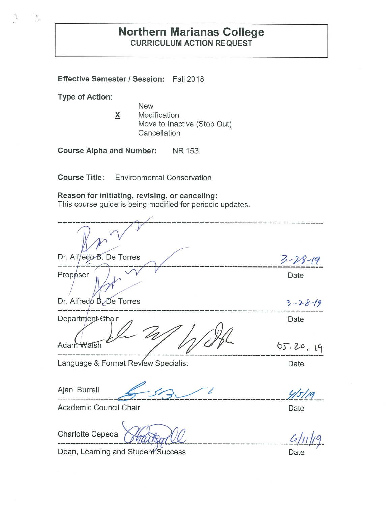# **Northern Marianas College CURRICULUM ACTION REQUEST**

**Effective Semester/ Session:** Fall 2018

**Type of Action:** 

 $\binom{\frac{n}{2}}{k}$ 

New **X** Modification Move to Inactive (Stop Out) **Cancellation** 

**Course Alpha and Number: NR** 153

**Course Title:** Environmental Conservation

## **Reason for initiating, revising, or canceling:**

This course guide is being modified for periodic updates.

| Dr. Alfredo B. De Torres            |                  |
|-------------------------------------|------------------|
|                                     | $3 - 28 - 19$    |
| Proposer                            | Date             |
| Dr. Alfredo B. De Torres            | $3 - 28 - 19$    |
| Department-Chair<br>Adam Walsh      | Date<br>65.20.19 |
| Language & Format Review Specialist | Date             |
| Ajani Burrell                       | 4/5/19           |
| Academic Council Chair              | Date             |
| Charlotte Cepeda                    |                  |

Dean, Learning and Student Success Date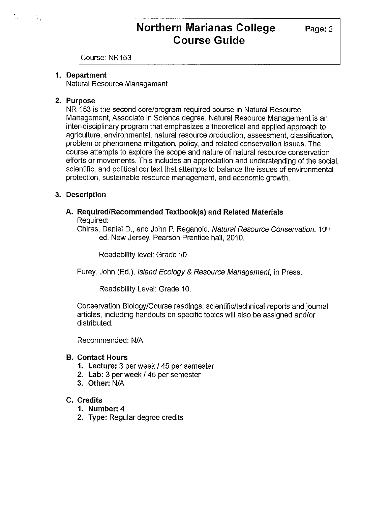Course: NR153

### **1. Department**

Natural Resource Management

### **2. Purpose**

ti<br>Tu

NR 153 is the second core/program required course in Natural Resource Management, Associate in Science degree. Natural Resource Management is an inter-disciplinary program that emphasizes a theoretical and applied approach to agriculture, environmental, natural resource production, assessment, classification, problem or phenomena mitigation, policy, and related conservation issues. The course attempts to explore the scope and nature of natural resource conservation efforts or movements. This includes an appreciation and understanding of the social, scientific, and political context that attempts to balance the issues of environmental protection, sustainable resource management, and economic growth.

## **3. Description**

#### **A. Required/Recommended Textbook(s) and Related Materials**  Required:

Chiras, Daniel D., and John P. Reganold. Natural Resource Conservation. 10th ed. New Jersey. Pearson Prentice hall, 2010.

Readability level: Grade 10

Furey, John (Ed.), Island Ecology & Resource Management, in Press.

Readability Level: Grade 10.

Conservation Biology/Course readings: scientific/technical reports and journal articles, including handouts on specific topics will also be assigned and/or distributed.

Recommended: N/A

#### **B. Contact Hours**

- **1. Lecture:** 3 per week/ 45 per semester
- **2. Lab:** 3 per week/ 45 per semester
- **3. Other:** NIA

## **C. Credits**

- **1. Number:** 4
- **2. Type:** Regular degree credits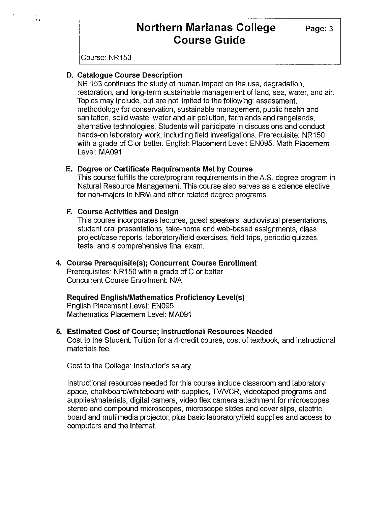Course: NR153

t.<br>Fil

#### **D. Catalogue Course Description**

NR 153 continues the study of human impact on the use, degradation, restoration, and long-term sustainable management of land, sea, water, and air. Topics may include, but are not limited to the following: assessment, methodology for conservation, sustainable management, public health and sanitation, solid waste, water and air pollution, farmlands and rangelands, alternative technologies. Students will participate in discussions and conduct hands-on laboratory work, including field investigations. Prerequisite: NR 150 with a grade of C or better. English Placement Level: EN095. Math Placement Level: MA091

#### **E. Degree or Certificate Requirements Met by Course**

This course fulfills the core/program requirements in the A.S. degree program in Natural Resource Management. This course also serves as a science elective for non-majors in NRM and other related degree programs.

#### **F. Course Activities and Design**

This course incorporates lectures, guest speakers, audiovisual presentations, student oral presentations, take-home and web-based assignments, class project/case reports, laboratory/field exercises, field trips, periodic quizzes, tests, and a comprehensive final exam.

## **4. Course Prerequisite(s); Concurrent Course Enrollment**

Prerequisites: NR150 with a grade of C or better Concurrent Course Enrollment: N/A

## **Required English/Mathematics Proficiency Level(s)**

English Placement Level: EN095 Mathematics Placement Level: MA091

#### **5. Estimated Cost of Course; Instructional Resources Needed**

Cost to the Student: Tuition for a 4-credit course, cost of textbook, and instructional materials fee.

Cost to the College: Instructor's salary.

Instructional resources needed for this course include classroom and laboratory space, chalkboard/whiteboard with supplies, TVNCR, videotaped programs and supplies/materials, digital camera, video flex camera attachment for microscopes, stereo and compound microscopes, microscope slides and cover slips, electric board and multimedia projector, plus basic laboratory/field supplies and access to computers and the internet.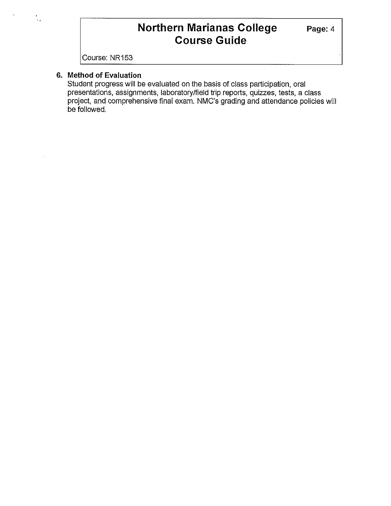Course: NR153

## **6. Method of Evaluation**

 $\frac{1}{2}$ 

Student progress will be evaluated on the basis of class participation, oral presentations, assignments, laboratory/field trip reports, quizzes, tests, a class project, and comprehensive final exam. NMC's grading and attendance policies will be followed.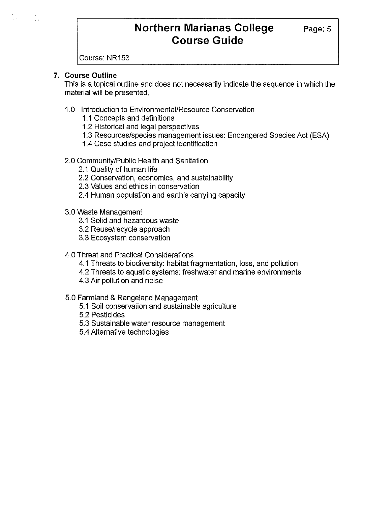Course: NR153

## **7. Course Outline**

This is a topical outline and does not necessarily indicate the sequence in which the material will be presented.

- 1.0 Introduction to Environmental/Resource Conservation
	- 1.1 Concepts and definitions
	- 1.2 Historical and legal perspectives
	- 1.3 Resources/species management issues: Endangered Species Act (ESA)
	- 1.4 Case studies and project identification

## 2.0 Community/Public Health and Sanitation

- 2.1 Quality of human life
- 2.2 Conservation, economics, and sustainability
- 2.3 Values and ethics in conservation
- 2.4 Human population and earth's carrying capacity
- 3.0 Waste Management
	- 3.1 Solid and hazardous waste
	- 3.2 Reuse/recycle approach
	- 3.3 Ecosystem conservation

## 4.0 Threat and Practical Considerations

- 4.1 Threats to biodiversity: habitat fragmentation, loss, and pollution
- 4.2 Threats to aquatic systems: freshwater and marine environments
- 4.3 Air pollution and noise
- 5.0 Farmland & Rangeland Management
	- 5.1 Soil conservation and sustainable agriculture
	- 5.2 Pesticides
	- 5.3 Sustainable water resource management
	- 5.4 Alternative technologies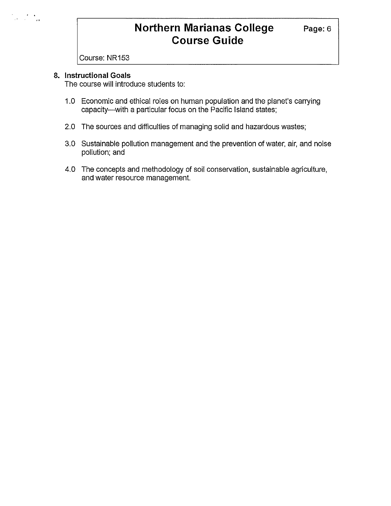Course: NR153

#### **8. Instructional Goals**

 $\mathcal{L} = \mathcal{L} \mathcal{L}$ 

The course will introduce students to:

- 1.0 Economic and ethical roles on human population and the planet's carrying capacity-with a particular focus on the Pacific Island states;
- 2.0 The sources and difficulties of managing solid and hazardous wastes;
- 3.0 Sustainable pollution management and the prevention of water, air, and noise pollution; and
- 4.0 The concepts and methodology of soil conservation, sustainable agriculture, and water resource management.